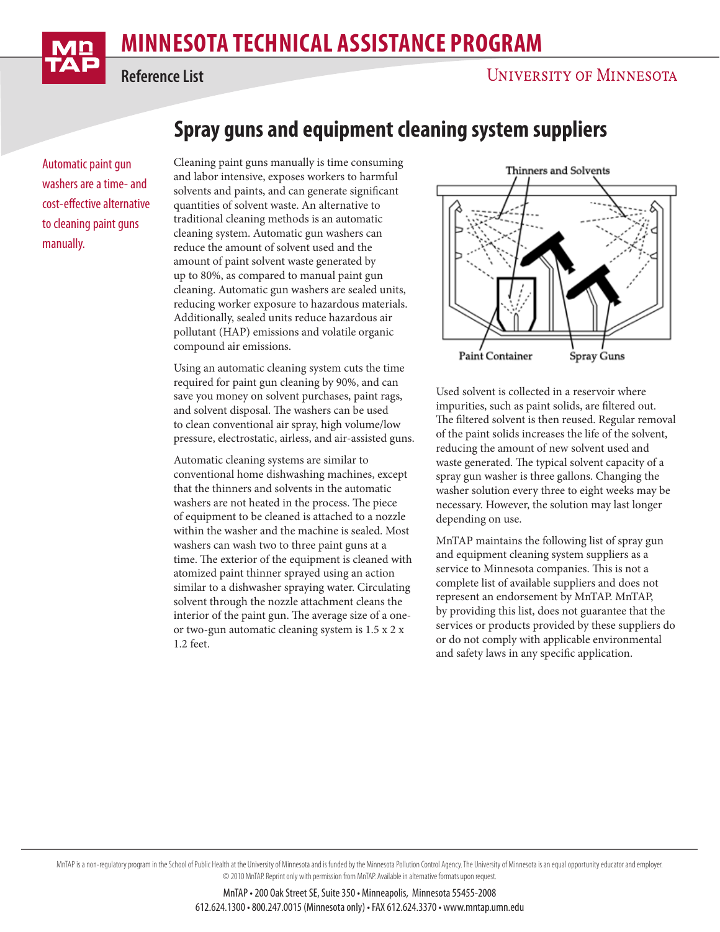## **MINNESOTA TECHNICAL ASSISTANCE PROGRAM**

**Reference List**

Automatic paint gun washers are a time- and cost-effective alternative to cleaning paint guns manually.

## **Spray guns and equipment cleaning system suppliers**

Cleaning paint guns manually is time consuming and labor intensive, exposes workers to harmful solvents and paints, and can generate significant quantities of solvent waste. An alternative to traditional cleaning methods is an automatic cleaning system. Automatic gun washers can reduce the amount of solvent used and the amount of paint solvent waste generated by up to 80%, as compared to manual paint gun cleaning. Automatic gun washers are sealed units, reducing worker exposure to hazardous materials. Additionally, sealed units reduce hazardous air pollutant (HAP) emissions and volatile organic compound air emissions.

Using an automatic cleaning system cuts the time required for paint gun cleaning by 90%, and can save you money on solvent purchases, paint rags, and solvent disposal. The washers can be used to clean conventional air spray, high volume/low pressure, electrostatic, airless, and air-assisted guns.

Automatic cleaning systems are similar to conventional home dishwashing machines, except that the thinners and solvents in the automatic washers are not heated in the process. The piece of equipment to be cleaned is attached to a nozzle within the washer and the machine is sealed. Most washers can wash two to three paint guns at a time. The exterior of the equipment is cleaned with atomized paint thinner sprayed using an action similar to a dishwasher spraying water. Circulating solvent through the nozzle attachment cleans the interior of the paint gun. The average size of a oneor two-gun automatic cleaning system is 1.5 x 2 x 1.2 feet.



Used solvent is collected in a reservoir where impurities, such as paint solids, are filtered out. The filtered solvent is then reused. Regular removal of the paint solids increases the life of the solvent, reducing the amount of new solvent used and waste generated. The typical solvent capacity of a spray gun washer is three gallons. Changing the washer solution every three to eight weeks may be necessary. However, the solution may last longer depending on use.

MnTAP maintains the following list of spray gun and equipment cleaning system suppliers as a service to Minnesota companies. This is not a complete list of available suppliers and does not represent an endorsement by MnTAP. MnTAP, by providing this list, does not guarantee that the services or products provided by these suppliers do or do not comply with applicable environmental and safety laws in any specific application.

MnTAP is a non-regulatory program in the School of Public Health at the University of Minnesota and is funded by the Minnesota Pollution Control Agency. The University of Minnesota is an equal opportunity educator and empl © 2010 MnTAP. Reprint only with permission from MnTAP. Available in alternative formats upon request.